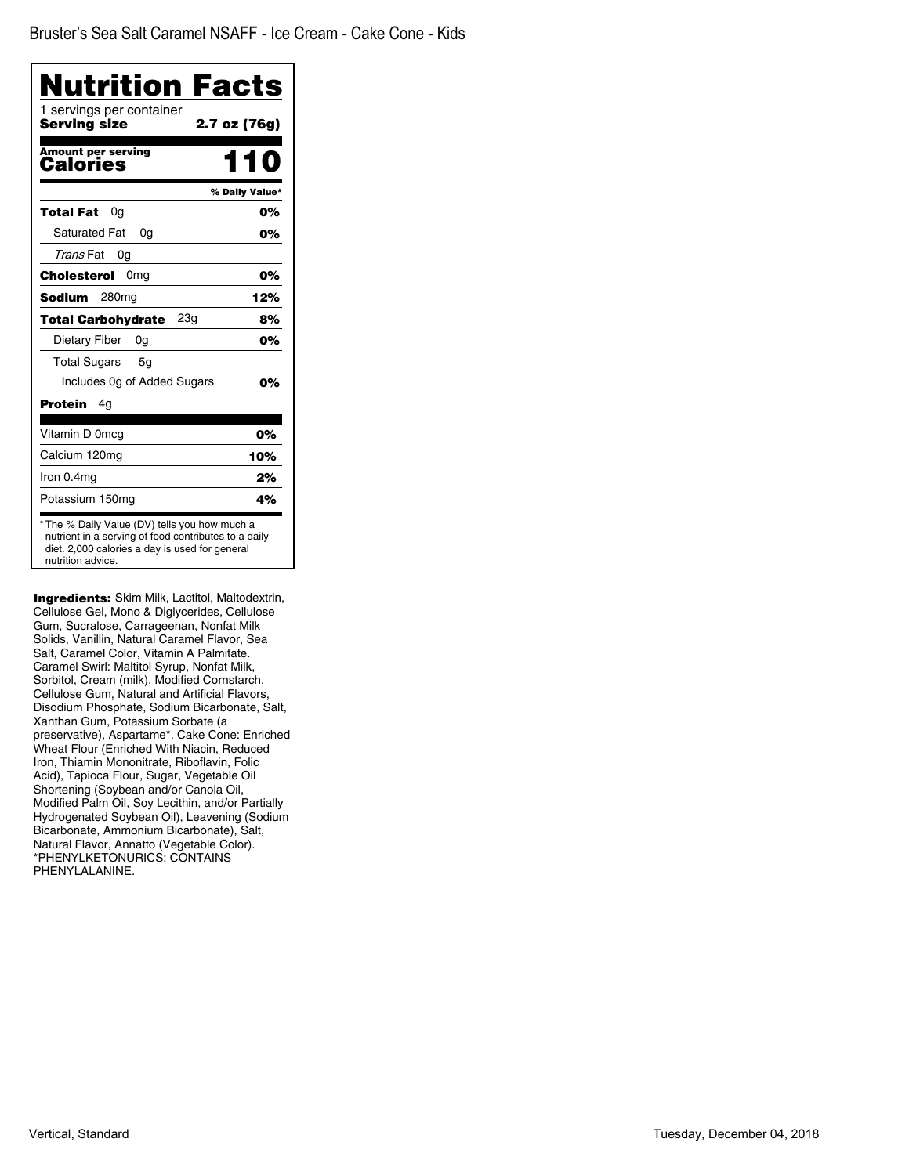| 1 servings per container<br>Serving size | 2.7 oz (76g)   |
|------------------------------------------|----------------|
| <b>Amount per serving</b><br>Calories    | 110            |
|                                          | % Daily Value* |
| 0g<br>Total Fat                          | 0%             |
| <b>Saturated Fat</b><br>0q               | 0%             |
| Trans Fat<br>0g                          |                |
| Cholesterol<br>0 <sub>mg</sub>           | 0%             |
| Sodium<br>280 <sub>mq</sub>              | 12%            |
| 23g<br><b>Total Carbohydrate</b>         | 8%             |
| Dietary Fiber<br>0g                      | 0%             |
| <b>Total Sugars</b><br>5g                |                |
| Includes Og of Added Sugars              | 0%             |
| Protein<br>4g                            |                |
| Vitamin D 0mcg                           | 0%             |
| Calcium 120mg                            | 10%            |
| Iron 0.4mg                               | 2%             |
| Potassium 150mg                          | 4%             |

Ingredients: Skim Milk, Lactitol, Maltodextrin, Cellulose Gel, Mono & Diglycerides, Cellulose Gum, Sucralose, Carrageenan, Nonfat Milk Solids, Vanillin, Natural Caramel Flavor, Sea Salt, Caramel Color, Vitamin A Palmitate. Caramel Swirl: Maltitol Syrup, Nonfat Milk, Sorbitol, Cream (milk), Modified Cornstarch, Cellulose Gum, Natural and Artificial Flavors, Disodium Phosphate, Sodium Bicarbonate, Salt, Xanthan Gum, Potassium Sorbate (a preservative), Aspartame\*. Cake Cone: Enriched Wheat Flour (Enriched With Niacin, Reduced Iron, Thiamin Mononitrate, Riboflavin, Folic Acid), Tapioca Flour, Sugar, Vegetable Oil Shortening (Soybean and/or Canola Oil, Modified Palm Oil, Soy Lecithin, and/or Partially Hydrogenated Soybean Oil), Leavening (Sodium Bicarbonate, Ammonium Bicarbonate), Salt, Natural Flavor, Annatto (Vegetable Color). \*PHENYLKETONURICS: CONTAINS PHENYLALANINE.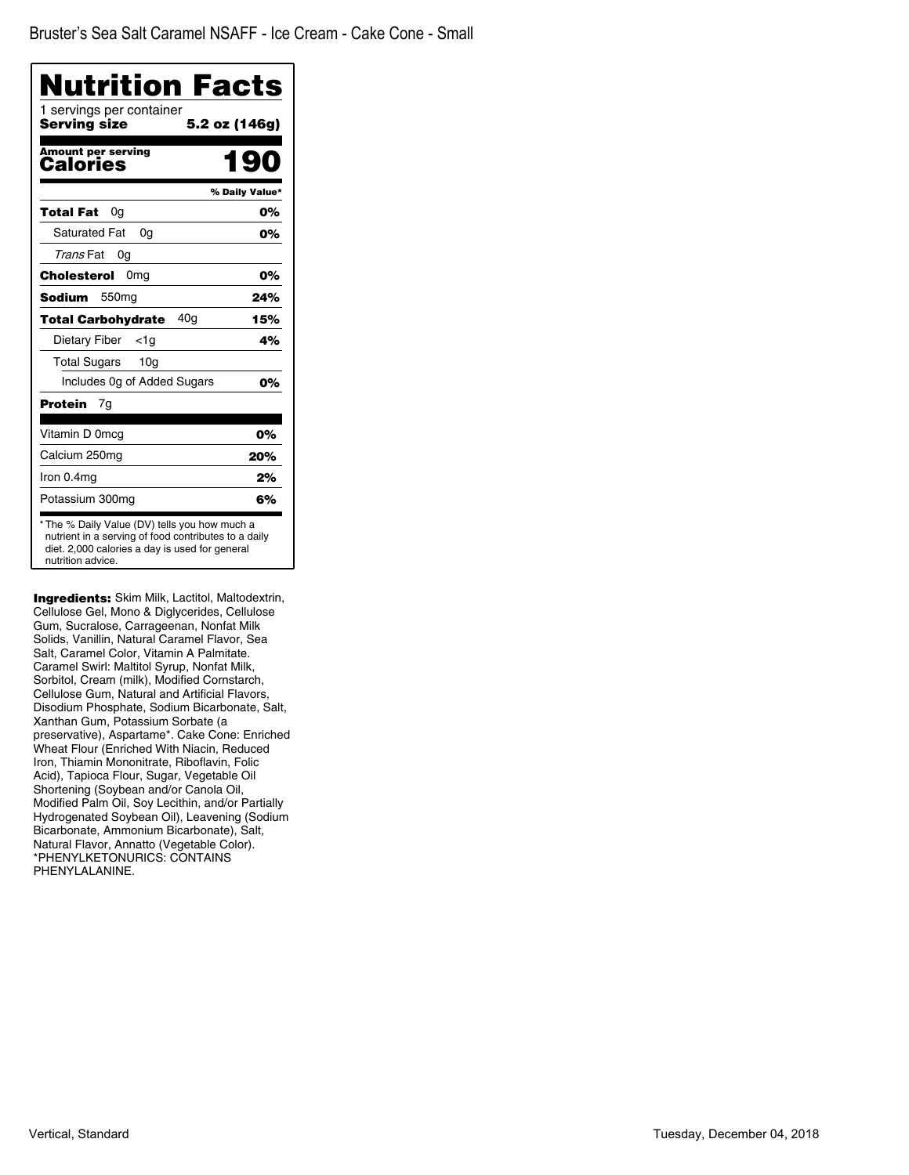| 1 servings per container<br>Serving size     | 5.2 oz (146g)  |
|----------------------------------------------|----------------|
| <b>Amount per serving</b><br>Calories        | 190            |
|                                              | % Daily Value* |
| Total Fat<br>0a                              | 0%             |
| <b>Saturated Fat</b><br>0g                   | 0%             |
| Trans Fat<br>0g                              |                |
| Cholesterol<br>0 <sub>mg</sub>               | 0%             |
| Sodium<br>550 <sub>mq</sub>                  | 24%            |
| 40 <sub>q</sub><br><b>Total Carbohydrate</b> | 15%            |
| Dietary Fiber<br><1a                         | 4%             |
| <b>Total Sugars</b><br>10 <sub>q</sub>       |                |
| Includes 0g of Added Sugars                  | 0%             |
| <b>Protein</b><br>7g                         |                |
| Vitamin D 0mcg                               | 0%             |
| Calcium 250mg                                | 20%            |
| Iron 0.4mg                                   | 2%             |
| Potassium 300mg                              | 6%             |

Ingredients: Skim Milk, Lactitol, Maltodextrin, Cellulose Gel, Mono & Diglycerides, Cellulose Gum, Sucralose, Carrageenan, Nonfat Milk Solids, Vanillin, Natural Caramel Flavor, Sea Salt, Caramel Color, Vitamin A Palmitate. Caramel Swirl: Maltitol Syrup, Nonfat Milk, Sorbitol, Cream (milk), Modified Cornstarch, Cellulose Gum, Natural and Artificial Flavors, Disodium Phosphate, Sodium Bicarbonate, Salt, Xanthan Gum, Potassium Sorbate (a preservative), Aspartame\*. Cake Cone: Enriched Wheat Flour (Enriched With Niacin, Reduced Iron, Thiamin Mononitrate, Riboflavin, Folic Acid), Tapioca Flour, Sugar, Vegetable Oil Shortening (Soybean and/or Canola Oil, Modified Palm Oil, Soy Lecithin, and/or Partially Hydrogenated Soybean Oil), Leavening (Sodium Bicarbonate, Ammonium Bicarbonate), Salt, Natural Flavor, Annatto (Vegetable Color). \*PHENYLKETONURICS: CONTAINS PHENYLALANINE.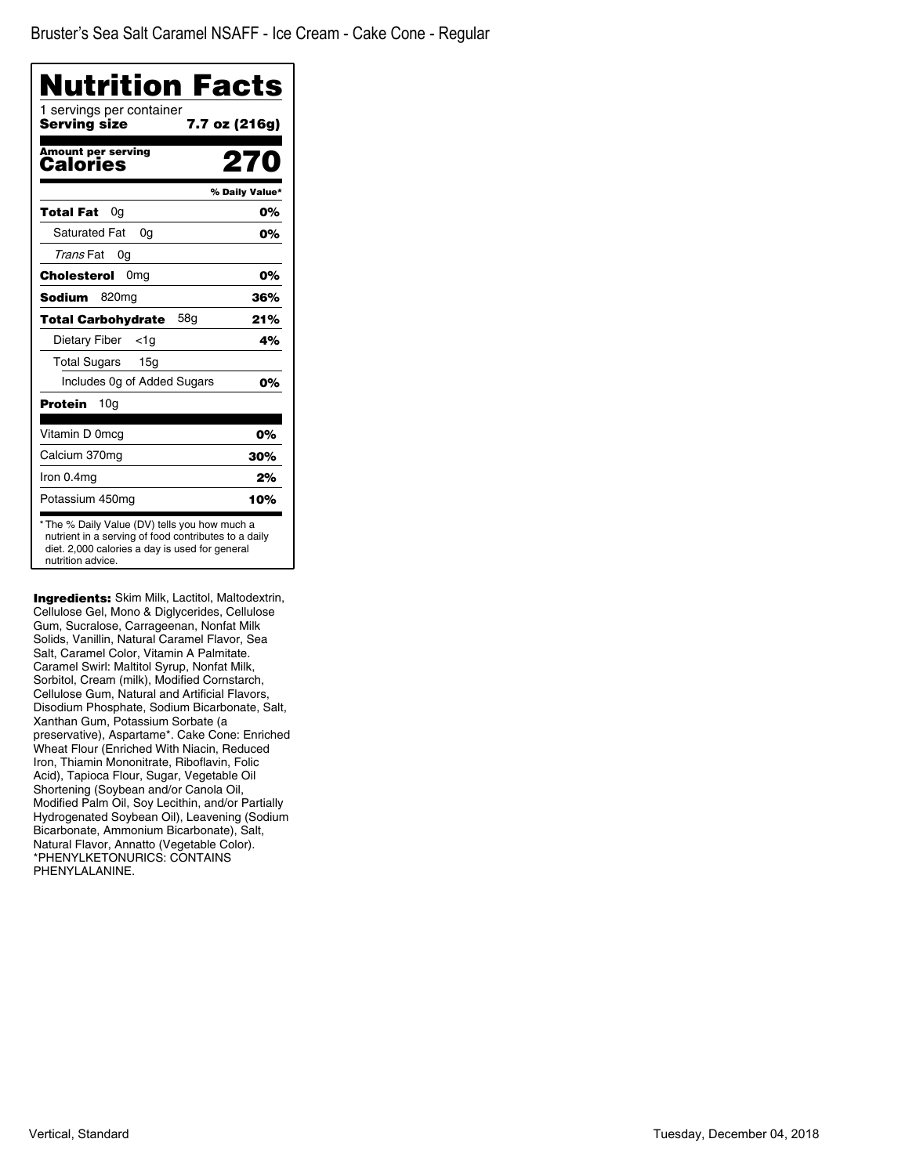| <b>Nutrition Facts</b><br>1 servings per container |                |
|----------------------------------------------------|----------------|
| Serving size                                       | 7.7 oz (216g)  |
| <b>Amount per serving</b><br>Calories              | 270            |
|                                                    | % Daily Value* |
| Total Fat<br>0g                                    | 0%             |
| <b>Saturated Fat</b><br>0q                         | 0%             |
| Trans Fat<br>0g                                    |                |
| Cholesterol<br>0 <sub>mg</sub>                     | 0%             |
| Sodium<br>820mg                                    | 36%            |
| 58g<br><b>Total Carbohydrate</b>                   | 21%            |
| Dietary Fiber<br><1a                               | 4%             |
| Total Sugars<br>15a                                |                |
| Includes Og of Added Sugars                        | 0%             |
| <b>Protein</b><br>10 <sub>q</sub>                  |                |
| Vitamin D 0mcg                                     | 0%             |
| Calcium 370mg                                      | 30%            |
| Iron 0.4mg                                         | 2%             |
| Potassium 450mg                                    | 10%            |

**Ingredients:** Skim Milk, Lactitol, Maltodextrin, Cellulose Gel, Mono & Diglycerides, Cellulose Gum, Sucralose, Carrageenan, Nonfat Milk Solids, Vanillin, Natural Caramel Flavor, Sea Salt, Caramel Color, Vitamin A Palmitate. Caramel Swirl: Maltitol Syrup, Nonfat Milk, Sorbitol, Cream (milk), Modified Cornstarch, Cellulose Gum, Natural and Artificial Flavors, Disodium Phosphate, Sodium Bicarbonate, Salt, Xanthan Gum, Potassium Sorbate (a preservative), Aspartame\*. Cake Cone: Enriched Wheat Flour (Enriched With Niacin, Reduced Iron, Thiamin Mononitrate, Riboflavin, Folic Acid), Tapioca Flour, Sugar, Vegetable Oil Shortening (Soybean and/or Canola Oil, Modified Palm Oil, Soy Lecithin, and/or Partially Hydrogenated Soybean Oil), Leavening (Sodium Bicarbonate, Ammonium Bicarbonate), Salt, Natural Flavor, Annatto (Vegetable Color). \*PHENYLKETONURICS: CONTAINS PHENYLALANINE.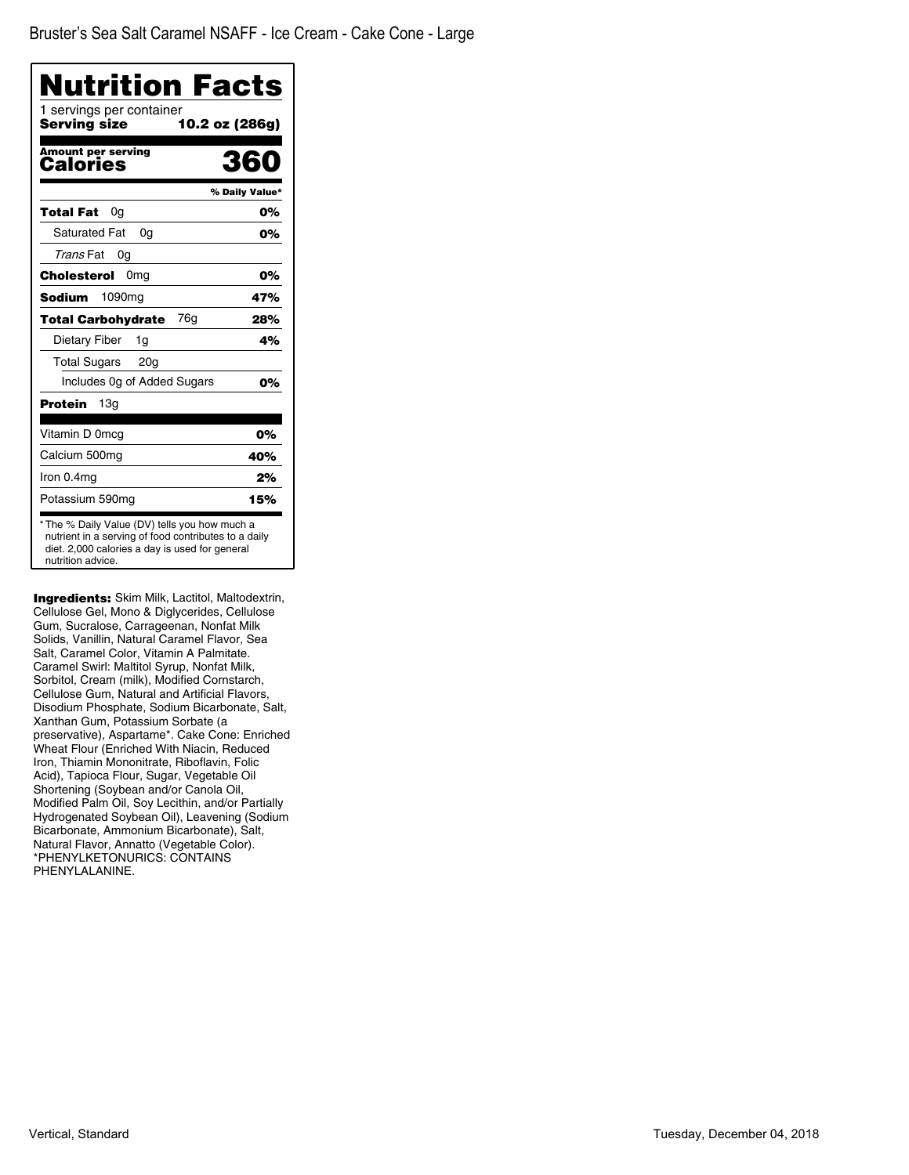| 1 servings per container<br><b>Serving size</b> | 10.2 oz (286g) |
|-------------------------------------------------|----------------|
| <b>Amount per serving</b><br>Calories           | 360            |
|                                                 | % Daily Value* |
| Total Fat<br>0a                                 | 0%             |
| <b>Saturated Fat</b><br>0a                      | 0%             |
| Trans Fat<br>0g                                 |                |
| Cholesterol<br>0 <sub>mg</sub>                  | 0%             |
| 1090 <sub>mq</sub><br><b>Sodium</b>             | 47%            |
| 76g<br><b>Total Carbohydrate</b>                | 28%            |
| Dietary Fiber<br>1g                             | 4%             |
| Total Sugars<br>20 <sub>q</sub>                 |                |
| Includes Og of Added Sugars                     | 0%             |
| Protein<br>13g                                  |                |
| Vitamin D 0mcg                                  | 0%             |
| Calcium 500mg                                   | 40%            |
| Iron 0.4mg                                      | 2%             |
| Potassium 590mg                                 | 15%            |

Ingredients: Skim Milk, Lactitol, Maltodextrin, Cellulose Gel, Mono & Diglycerides, Cellulose Gum, Sucralose, Carrageenan, Nonfat Milk Solids, Vanillin, Natural Caramel Flavor, Sea Salt, Caramel Color, Vitamin A Palmitate. Caramel Swirl: Maltitol Syrup, Nonfat Milk, Sorbitol, Cream (milk), Modified Cornstarch, Cellulose Gum, Natural and Artificial Flavors, Disodium Phosphate, Sodium Bicarbonate, Salt, Xanthan Gum, Potassium Sorbate (a preservative), Aspartame\*. Cake Cone: Enriched Wheat Flour (Enriched With Niacin, Reduced Iron, Thiamin Mononitrate, Riboflavin, Folic Acid), Tapioca Flour, Sugar, Vegetable Oil Shortening (Soybean and/or Canola Oil, Modified Palm Oil, Soy Lecithin, and/or Partially Hydrogenated Soybean Oil), Leavening (Sodium Bicarbonate, Ammonium Bicarbonate), Salt, Natural Flavor, Annatto (Vegetable Color). \*PHENYLKETONURICS: CONTAINS PHENYLALANINE.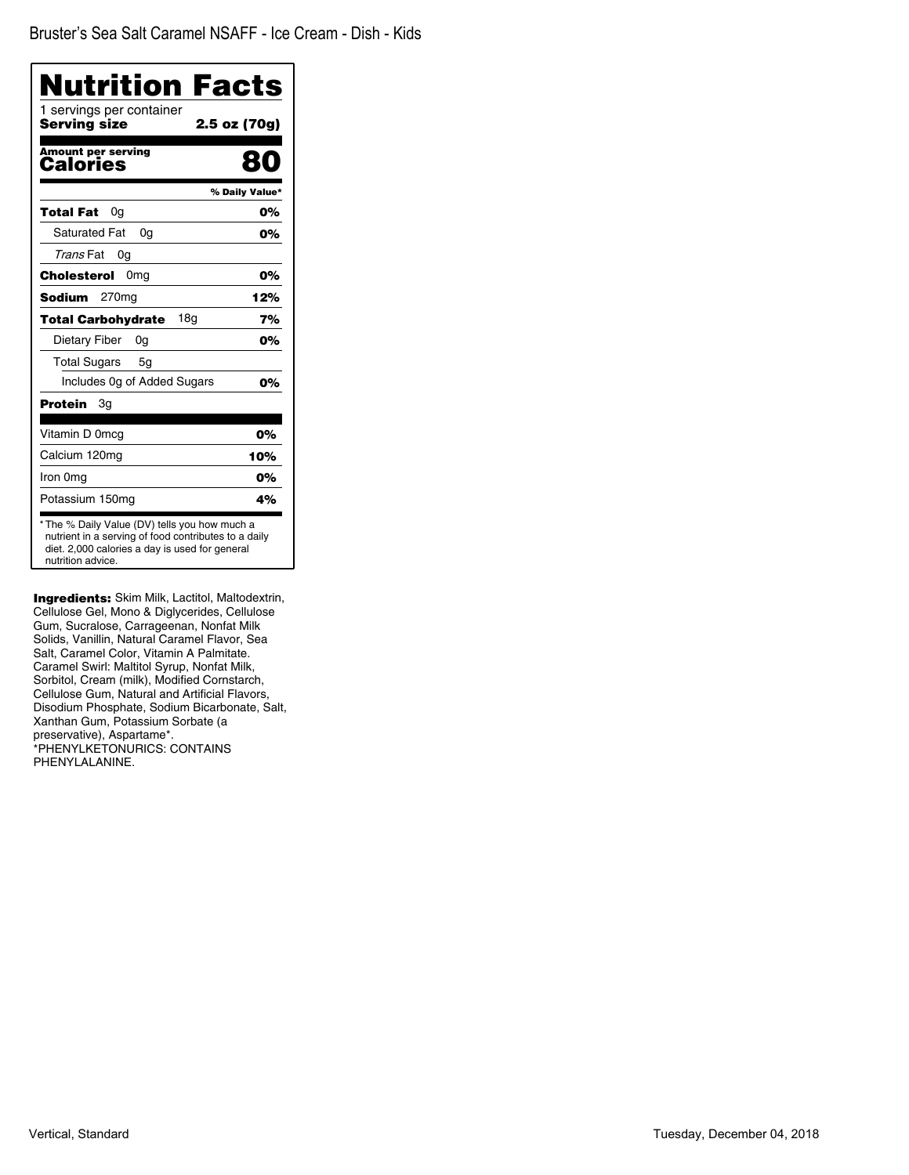| Nutrition Facts                          |                |
|------------------------------------------|----------------|
| 1 servings per container<br>Serving size | 2.5 oz (70g)   |
| <b>Amount per serving</b><br>Calories    |                |
|                                          | % Daily Value* |
| Total Fat<br>0a                          | 0%             |
| <b>Saturated Fat</b><br>0q               | 0%             |
| Trans Fat<br>0g                          |                |
| Cholesterol<br>0mg                       | 0%             |
| <b>Sodium</b><br>270mg                   | 12%            |
| 18a<br><b>Total Carbohydrate</b>         | 7%             |
| Dietary Fiber<br>0g                      | 0%             |
| <b>Total Sugars</b><br>5g                |                |
| Includes Og of Added Sugars              | 0%             |
| Protein<br>Зg                            |                |
| Vitamin D 0mcg                           | 0%             |
| Calcium 120mg                            | 10%            |
| Iron 0mg                                 | 0%             |
| Potassium 150mg                          | 4%             |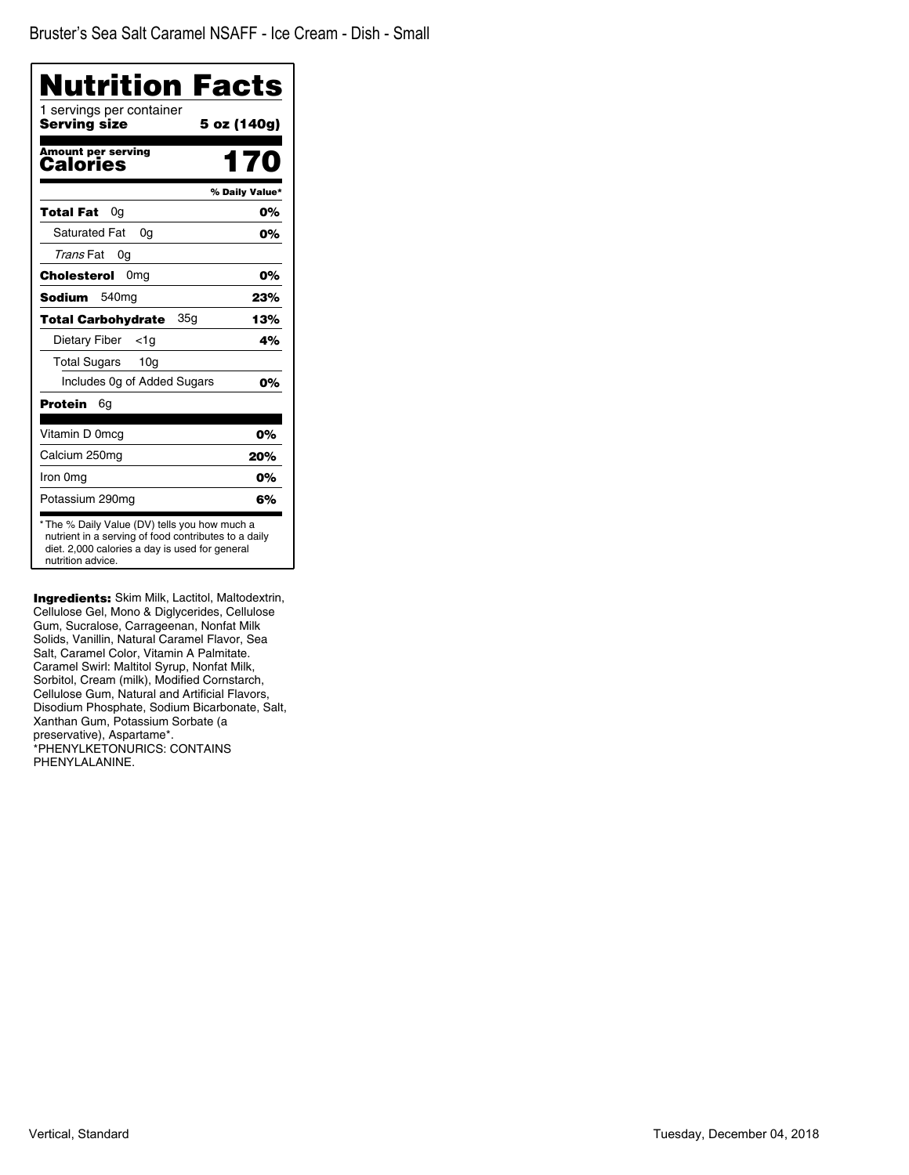| Nutrition Facts                                 |                |
|-------------------------------------------------|----------------|
| 1 servings per container<br><b>Serving size</b> | 5 oz (140g)    |
| Amount per serving<br>Calories                  | 170            |
|                                                 | % Daily Value* |
| Total Fat<br>0g                                 | 0%             |
| <b>Saturated Fat</b><br>0q                      | 0%             |
| Trans Fat<br>0g                                 |                |
| Cholesterol<br>0mg                              | 0%             |
| Sodium<br>540mg                                 | 23%            |
| <b>Total Carbohydrate</b><br>35g                | 13%            |
| Dietary Fiber<br><1a                            | 4%             |
| <b>Total Sugars</b><br>10 <sub>q</sub>          |                |
| Includes 0g of Added Sugars                     | 0%             |
| Protein<br>6g                                   |                |
| Vitamin D 0mcg                                  | 0%             |
| Calcium 250mg                                   | 20%            |
| Iron 0mg                                        | 0%             |
| Potassium 290mg                                 | 6%             |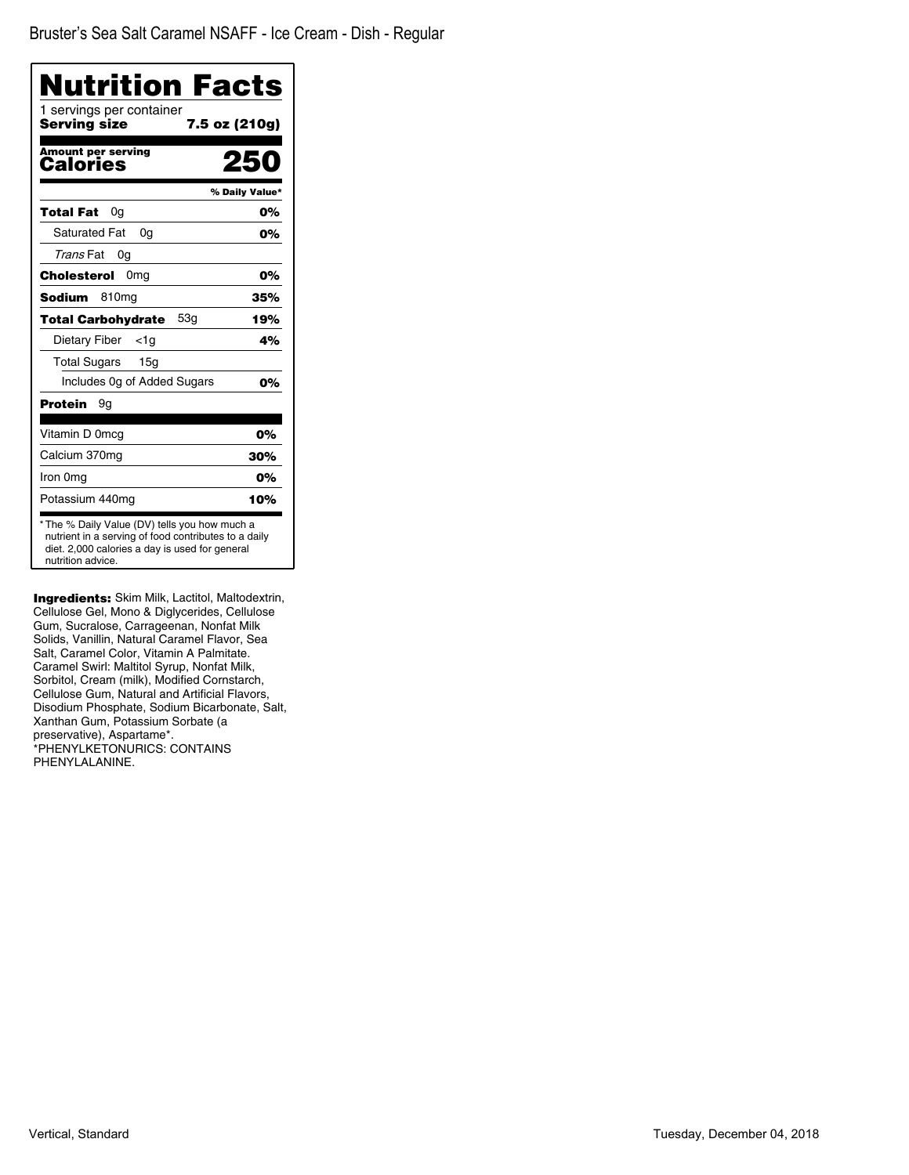| Nutrition Facts                          |                |
|------------------------------------------|----------------|
| 1 servings per container<br>Serving size | 7.5 oz (210g)  |
| <b>Amount per serving</b><br>Calories    |                |
|                                          | % Daily Value* |
| Total Fat<br>0g                          | 0%             |
| <b>Saturated Fat</b><br>0g               | 0%             |
| Trans Fat<br>0g                          |                |
| Cholesterol<br>0mg                       | 0%             |
| <b>Sodium</b><br>810ma                   | 35%            |
| 53q<br><b>Total Carbohydrate</b>         | 19%            |
| Dietary Fiber<br><1a                     | 4%             |
| <b>Total Sugars</b><br>15g               |                |
| Includes 0g of Added Sugars              | 0%             |
| <b>Protein</b><br>9g                     |                |
| Vitamin D 0mcq                           | 0%             |
| Calcium 370mg                            | 30%            |
| Iron 0mg                                 | 0%             |
| Potassium 440mg                          | 10%            |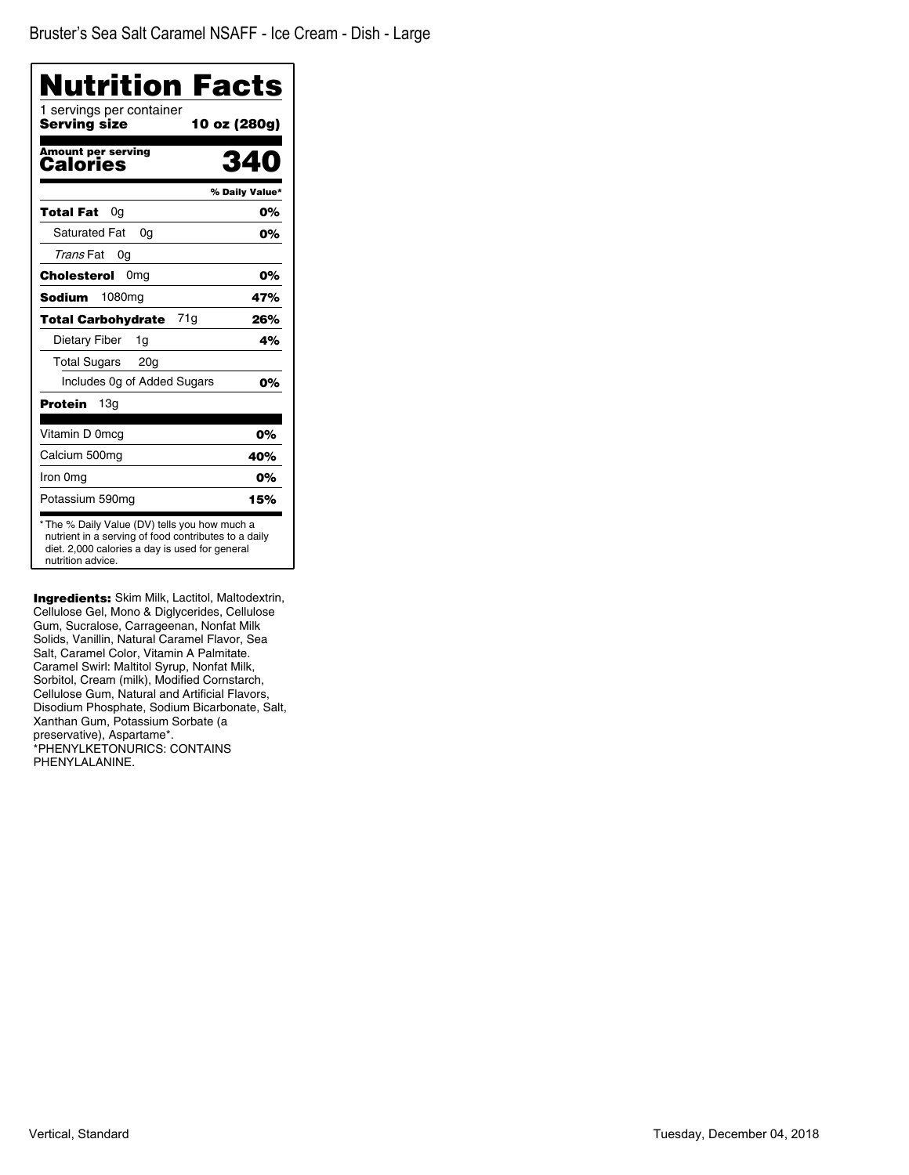| Nutrition Facts                                                                                                                                                              |                |
|------------------------------------------------------------------------------------------------------------------------------------------------------------------------------|----------------|
| 1 servings per container<br><b>Serving size</b>                                                                                                                              | 10 oz (280g)   |
| Amount per serving<br>Calories                                                                                                                                               | 34             |
|                                                                                                                                                                              | % Daily Value* |
| <b>Total Fat</b><br>0a                                                                                                                                                       | 0%             |
| Saturated Fat<br>0a                                                                                                                                                          | 0%             |
| Trans Fat<br>0g                                                                                                                                                              |                |
| Cholesterol<br>0 <sub>mg</sub>                                                                                                                                               | 0%             |
| <b>Sodium</b><br>1080 <sub>mq</sub>                                                                                                                                          | 47%            |
| 71g<br><b>Total Carbohydrate</b>                                                                                                                                             | 26%            |
| Dietary Fiber<br>1q                                                                                                                                                          | 4%             |
| <b>Total Sugars</b><br>20 <sub>q</sub>                                                                                                                                       |                |
| Includes 0g of Added Sugars                                                                                                                                                  | 0%             |
| 13 <sub>q</sub><br>Protein                                                                                                                                                   |                |
| Vitamin D 0mcg                                                                                                                                                               | 0%             |
| Calcium 500mg                                                                                                                                                                | 40%            |
| Iron 0mg                                                                                                                                                                     | 0%             |
| Potassium 590mg                                                                                                                                                              | 15%            |
| * The % Daily Value (DV) tells you how much a<br>nutrient in a serving of food contributes to a daily<br>diet. 2,000 calories a day is used for general<br>nutrition advice. |                |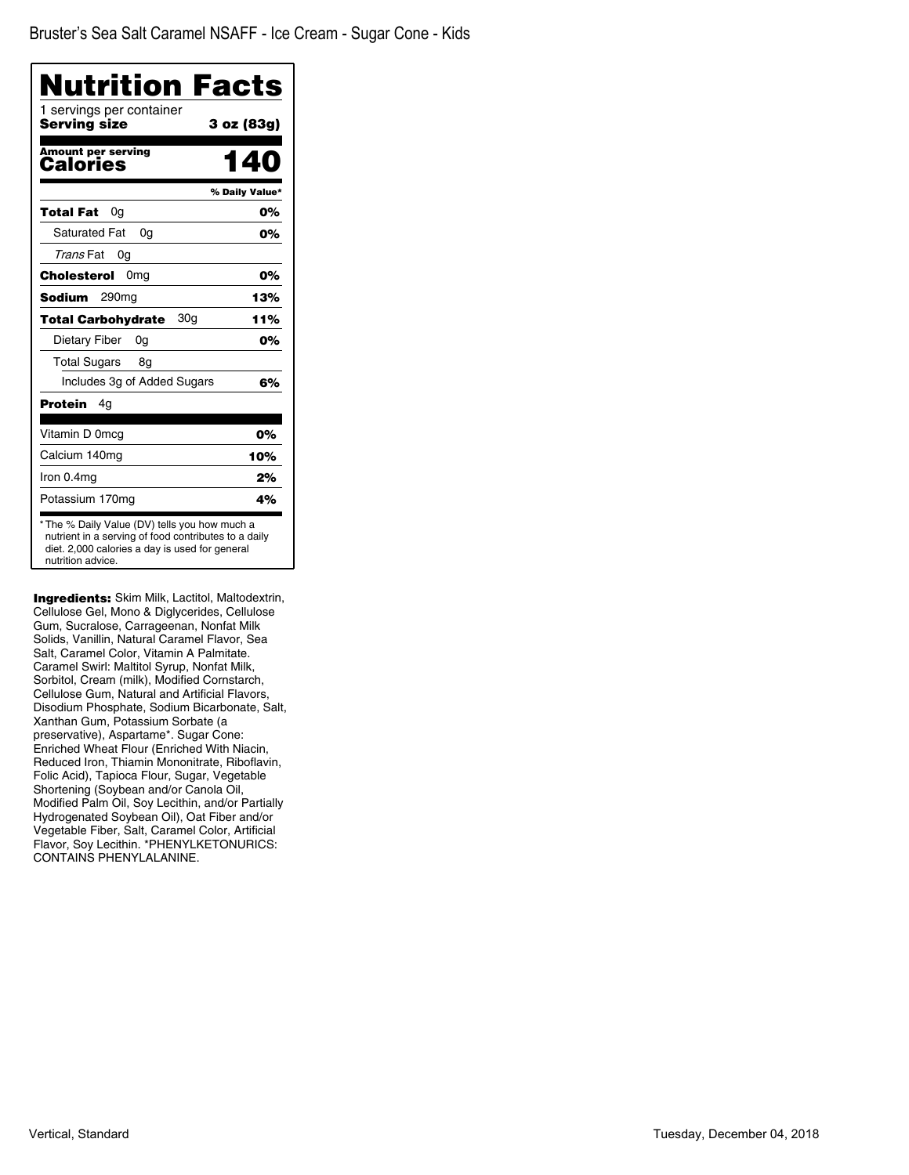| Nutrition Facts<br>1 servings per container |                |
|---------------------------------------------|----------------|
| Serving size                                | 3 oz (83g)     |
| <b>Amount per serving</b><br>Calories       | 140            |
|                                             | % Daily Value* |
| Total Fat<br>0g                             | 0%             |
| <b>Saturated Fat</b><br>0g                  | 0%             |
| Trans Fat<br>0g                             |                |
| Cholesterol<br>0 <sub>mg</sub>              | 0%             |
| Sodium<br>290mg                             | 13%            |
| 30g<br><b>Total Carbohydrate</b>            | 11%            |
| Dietary Fiber<br>0g                         | 0%             |
| Total Sugars<br>8g                          |                |
| Includes 3g of Added Sugars                 | 6%             |
| Protein<br>4g                               |                |
| Vitamin D 0mcg                              | 0%             |
| Calcium 140mg                               | 10%            |
| Iron 0.4mg                                  | 2%             |
| Potassium 170mg                             | 4%             |

**Ingredients:** Skim Milk, Lactitol, Maltodextrin, Cellulose Gel, Mono & Diglycerides, Cellulose Gum, Sucralose, Carrageenan, Nonfat Milk Solids, Vanillin, Natural Caramel Flavor, Sea Salt, Caramel Color, Vitamin A Palmitate. Caramel Swirl: Maltitol Syrup, Nonfat Milk, Sorbitol, Cream (milk), Modified Cornstarch, Cellulose Gum, Natural and Artificial Flavors, Disodium Phosphate, Sodium Bicarbonate, Salt, Xanthan Gum, Potassium Sorbate (a preservative), Aspartame\*. Sugar Cone: Enriched Wheat Flour (Enriched With Niacin, Reduced Iron, Thiamin Mononitrate, Riboflavin, Folic Acid), Tapioca Flour, Sugar, Vegetable Shortening (Soybean and/or Canola Oil, Modified Palm Oil, Soy Lecithin, and/or Partially Hydrogenated Soybean Oil), Oat Fiber and/or Vegetable Fiber, Salt, Caramel Color, Artificial Flavor, Soy Lecithin. \*PHENYLKETONURICS: CONTAINS PHENYLALANINE.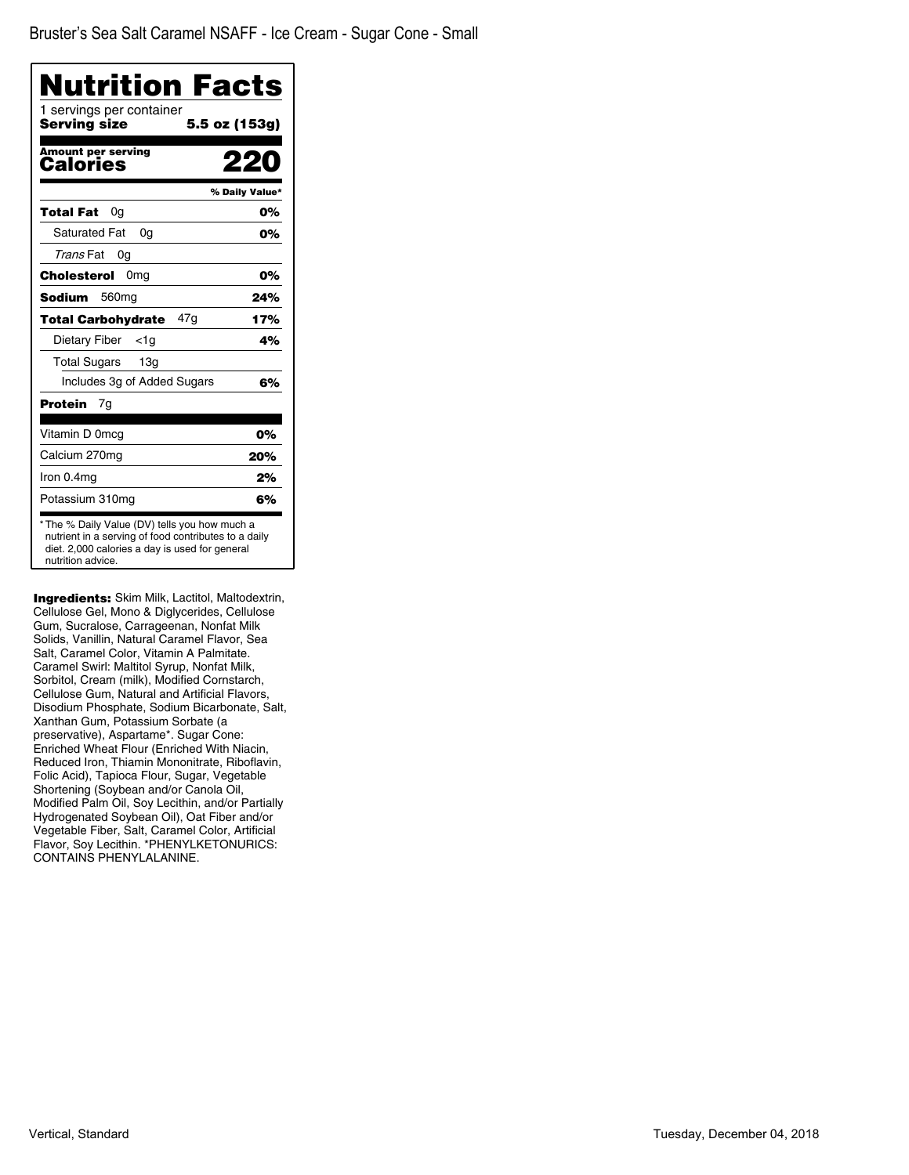| Nutrition Facts                          |                |
|------------------------------------------|----------------|
| 1 servings per container<br>Serving size | 5.5 oz (153g)  |
| <b>Amount per serving</b><br>Calories    |                |
|                                          | % Daily Value* |
| Total Fat<br>0a                          | 0%             |
| <b>Saturated Fat</b><br>0a               | 0%             |
| Trans Fat<br>0g                          |                |
| Cholesterol<br>0mg                       | 0%             |
| <b>Sodium</b><br>560 <sub>mg</sub>       | 24%            |
| 47g<br><b>Total Carbohydrate</b>         | 17%            |
| Dietary Fiber<br><1a                     | 4%             |
| Total Sugars<br>13g                      |                |
| Includes 3g of Added Sugars              | 6%             |
| Protein<br>7g                            |                |
| Vitamin D 0mcg                           | 0%             |
| Calcium 270mg                            | 20%            |
| Iron 0.4mg                               | 2%             |
| Potassium 310mg                          | 6%             |

**Ingredients:** Skim Milk, Lactitol, Maltodextrin, Cellulose Gel, Mono & Diglycerides, Cellulose Gum, Sucralose, Carrageenan, Nonfat Milk Solids, Vanillin, Natural Caramel Flavor, Sea Salt, Caramel Color, Vitamin A Palmitate. Caramel Swirl: Maltitol Syrup, Nonfat Milk, Sorbitol, Cream (milk), Modified Cornstarch, Cellulose Gum, Natural and Artificial Flavors, Disodium Phosphate, Sodium Bicarbonate, Salt, Xanthan Gum, Potassium Sorbate (a preservative), Aspartame\*. Sugar Cone: Enriched Wheat Flour (Enriched With Niacin, Reduced Iron, Thiamin Mononitrate, Riboflavin, Folic Acid), Tapioca Flour, Sugar, Vegetable Shortening (Soybean and/or Canola Oil, Modified Palm Oil, Soy Lecithin, and/or Partially Hydrogenated Soybean Oil), Oat Fiber and/or Vegetable Fiber, Salt, Caramel Color, Artificial Flavor, Soy Lecithin. \*PHENYLKETONURICS: CONTAINS PHENYLALANINE.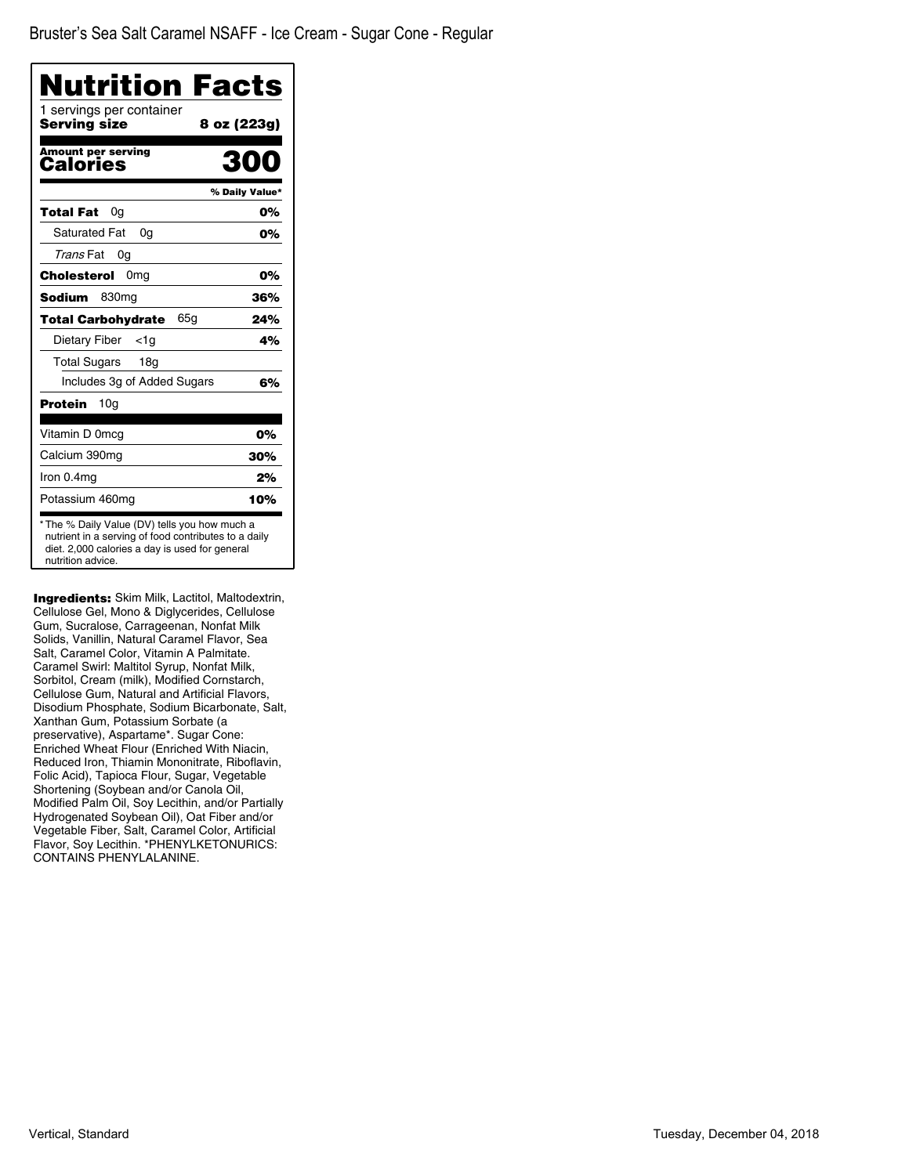| <b>Nutrition Facts</b>                                                                                                                                                       |                |
|------------------------------------------------------------------------------------------------------------------------------------------------------------------------------|----------------|
| 1 servings per container<br><b>Serving size</b>                                                                                                                              | 8 oz (223g)    |
| <b>Amount per serving</b><br>Calories                                                                                                                                        | 300            |
|                                                                                                                                                                              | % Daily Value* |
| Total Fat<br>0a                                                                                                                                                              | 0%             |
| <b>Saturated Fat</b><br>0q                                                                                                                                                   | 0%             |
| Trans Fat<br>0g                                                                                                                                                              |                |
| Cholesterol<br>0 <sub>mg</sub>                                                                                                                                               | 0%             |
| 830 <sub>mg</sub><br><b>Sodium</b>                                                                                                                                           | 36%            |
| 65g<br><b>Total Carbohydrate</b>                                                                                                                                             | 24%            |
| Dietary Fiber<br>$<$ 1g                                                                                                                                                      | 4%             |
| Total Sugars<br>18 <sub>q</sub>                                                                                                                                              |                |
| Includes 3g of Added Sugars                                                                                                                                                  | 6%             |
| Protein<br>10a                                                                                                                                                               |                |
| Vitamin D 0mcg                                                                                                                                                               | 0%             |
| Calcium 390mg                                                                                                                                                                | 30%            |
| Iron 0.4mg                                                                                                                                                                   | 2%             |
| Potassium 460mg                                                                                                                                                              | 10%            |
| * The % Daily Value (DV) tells you how much a<br>nutrient in a serving of food contributes to a daily<br>diet. 2,000 calories a day is used for general<br>nutrition advice. |                |

Ingredients: Skim Milk, Lactitol, Maltodextrin, Cellulose Gel, Mono & Diglycerides, Cellulose Gum, Sucralose, Carrageenan, Nonfat Milk Solids, Vanillin, Natural Caramel Flavor, Sea Salt, Caramel Color, Vitamin A Palmitate. Caramel Swirl: Maltitol Syrup, Nonfat Milk, Sorbitol, Cream (milk), Modified Cornstarch, Cellulose Gum, Natural and Artificial Flavors, Disodium Phosphate, Sodium Bicarbonate, Salt, Xanthan Gum, Potassium Sorbate (a preservative), Aspartame\*. Sugar Cone: Enriched Wheat Flour (Enriched With Niacin, Reduced Iron, Thiamin Mononitrate, Riboflavin, Folic Acid), Tapioca Flour, Sugar, Vegetable Shortening (Soybean and/or Canola Oil, Modified Palm Oil, Soy Lecithin, and/or Partially Hydrogenated Soybean Oil), Oat Fiber and/or Vegetable Fiber, Salt, Caramel Color, Artificial Flavor, Soy Lecithin. \*PHENYLKETONURICS: CONTAINS PHENYLALANINE.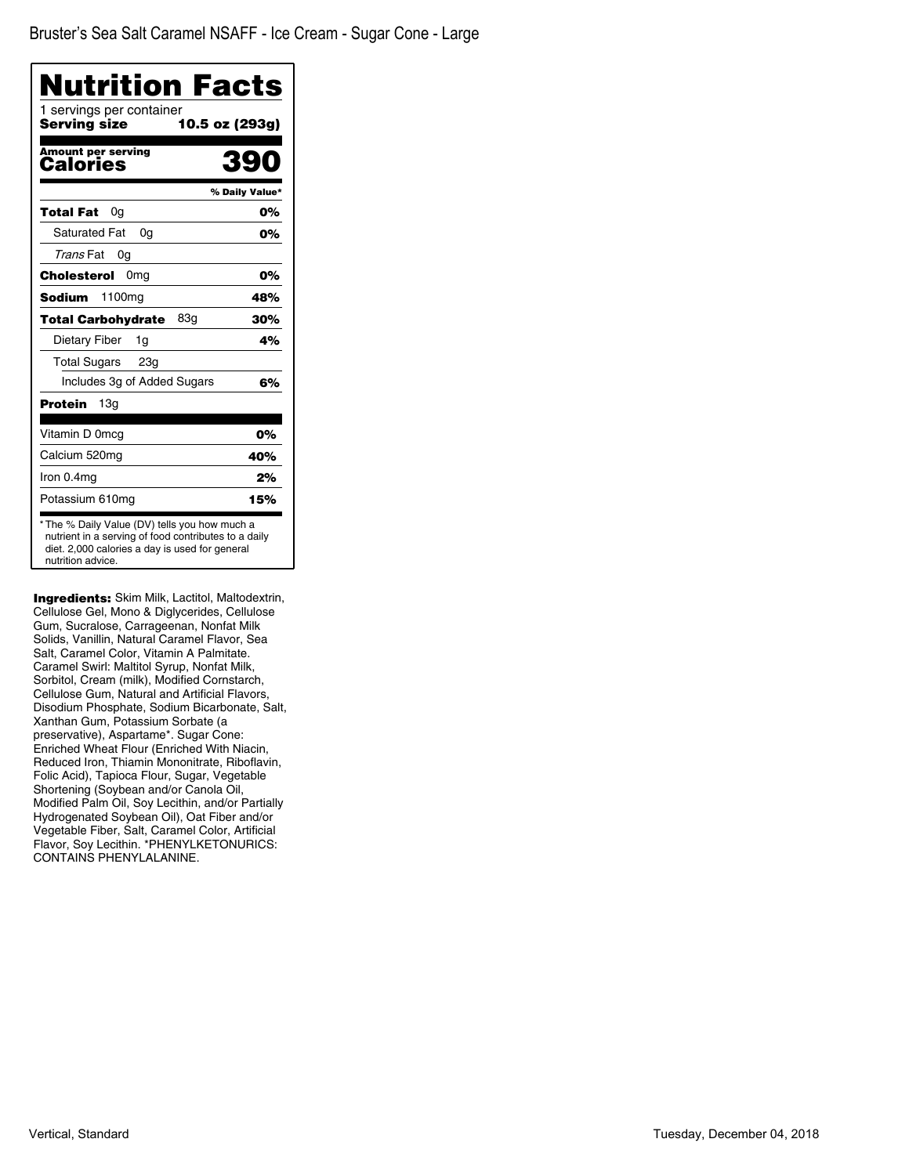| Nutrition Facts                              |                |
|----------------------------------------------|----------------|
| 1 servings per container<br>Serving size     | 10.5 oz (293g) |
| <b>Amount per serving</b><br><b>Calories</b> | 39             |
|                                              | % Daily Value* |
| Total Fat<br>0g                              | 0%             |
| <b>Saturated Fat</b><br>0a                   | 0%             |
| Trans Fat<br>0g                              |                |
| Cholesterol<br>0 <sub>mg</sub>               | 0%             |
| <b>Sodium</b><br>1100 <sub>mg</sub>          | 48%            |
| 83g<br><b>Total Carbohydrate</b>             | 30%            |
| Dietary Fiber<br>1g                          | 4%             |
| <b>Total Sugars</b><br>23g                   |                |
| Includes 3g of Added Sugars                  | 6%             |
| 13 <sub>q</sub><br>Protein                   |                |
| Vitamin D 0mcg                               | 0%             |
| Calcium 520mg                                | 40%            |
| Iron 0.4mg                                   | 2%             |
| Potassium 610mg                              | 15%            |

**Ingredients:** Skim Milk, Lactitol, Maltodextrin, Cellulose Gel, Mono & Diglycerides, Cellulose Gum, Sucralose, Carrageenan, Nonfat Milk Solids, Vanillin, Natural Caramel Flavor, Sea Salt, Caramel Color, Vitamin A Palmitate. Caramel Swirl: Maltitol Syrup, Nonfat Milk, Sorbitol, Cream (milk), Modified Cornstarch, Cellulose Gum, Natural and Artificial Flavors, Disodium Phosphate, Sodium Bicarbonate, Salt, Xanthan Gum, Potassium Sorbate (a preservative), Aspartame\*. Sugar Cone: Enriched Wheat Flour (Enriched With Niacin, Reduced Iron, Thiamin Mononitrate, Riboflavin, Folic Acid), Tapioca Flour, Sugar, Vegetable Shortening (Soybean and/or Canola Oil, Modified Palm Oil, Soy Lecithin, and/or Partially Hydrogenated Soybean Oil), Oat Fiber and/or Vegetable Fiber, Salt, Caramel Color, Artificial Flavor, Soy Lecithin. \*PHENYLKETONURICS: CONTAINS PHENYLALANINE.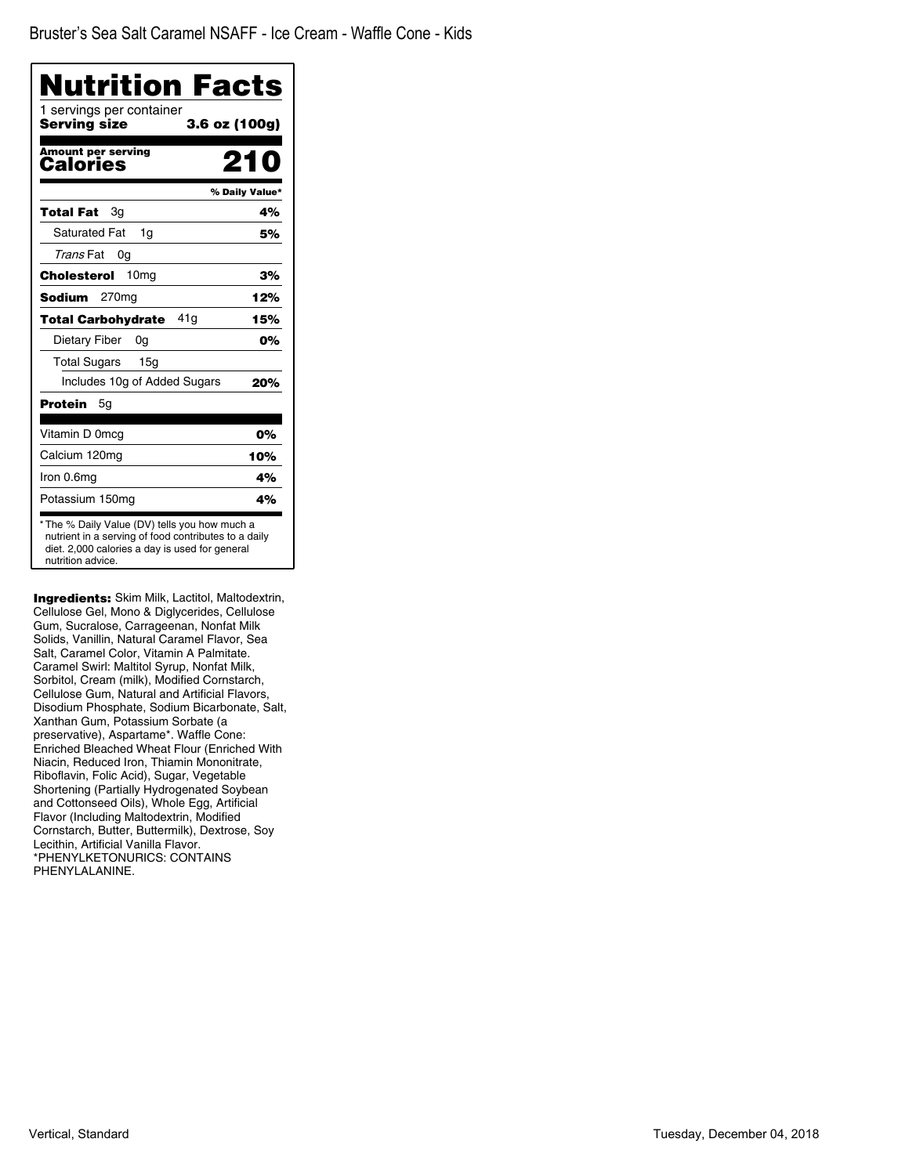| Nutrition Facts                          |                |
|------------------------------------------|----------------|
| 1 servings per container<br>Serving size | 3.6 oz (100g)  |
| <b>Amount per serving</b><br>Calories    | 210            |
|                                          | % Daily Value* |
| Total Fat<br>Зg                          | 4%             |
| <b>Saturated Fat</b><br>1g               | 5%             |
| Trans Fat<br>0g                          |                |
| Cholesterol<br>10 <sub>mg</sub>          | 3%             |
| Sodium<br>270 <sub>mg</sub>              | 12%            |
| 41g<br><b>Total Carbohydrate</b>         | 15%            |
| Dietary Fiber<br>0g                      | 0%             |
| <b>Total Sugars</b><br>15g               |                |
| Includes 10g of Added Sugars             | 20%            |
| Protein<br>5g                            |                |
| Vitamin D 0mcg                           | 0%             |
| Calcium 120mg                            | 10%            |
| Iron 0.6mg                               | 4%             |
| Potassium 150mg                          | 4%             |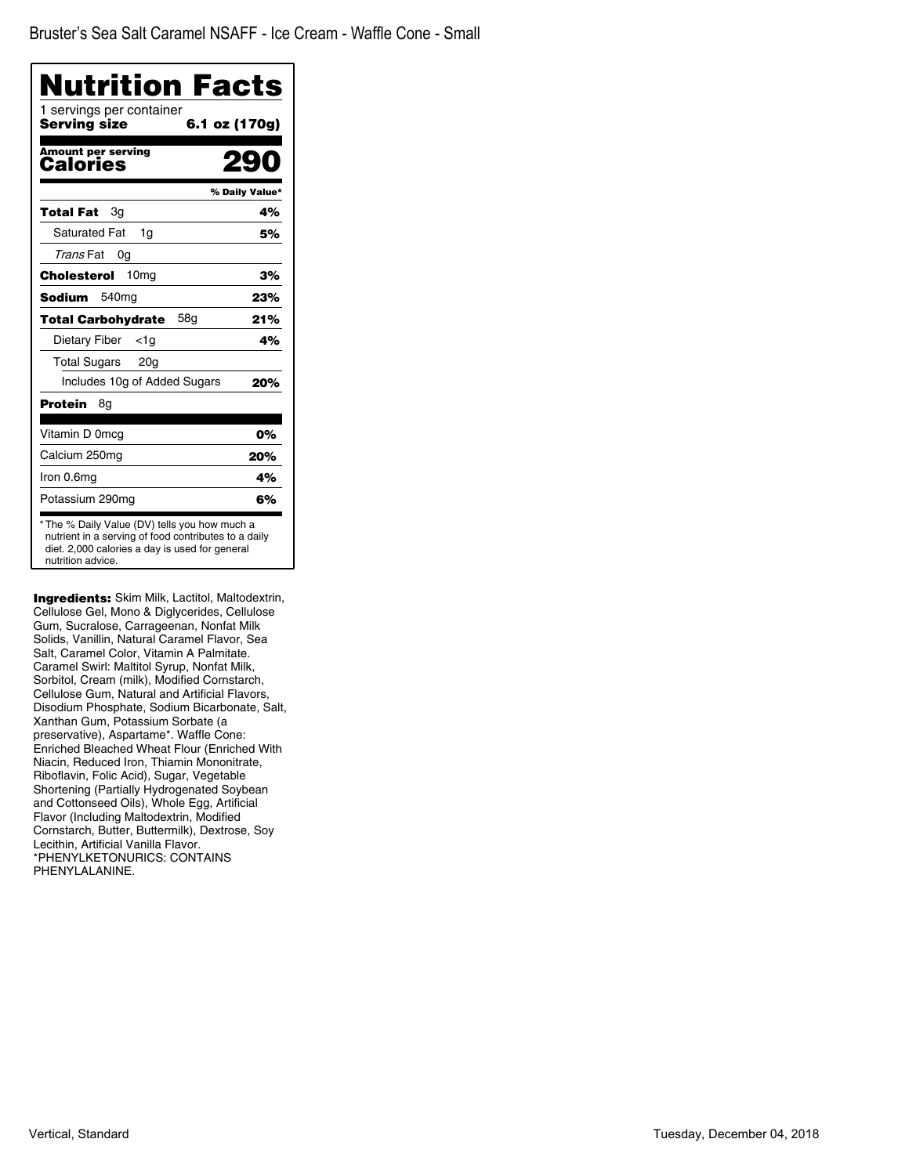| Nutrition Facts<br>1 servings per container |                |
|---------------------------------------------|----------------|
| Serving size                                | 6.1 oz (170g)  |
| <b>Amount per serving</b><br>Calories       |                |
|                                             | % Daily Value* |
| Total Fat<br>Зg                             | 4%             |
| <b>Saturated Fat</b><br>1q                  | 5%             |
| Trans Fat<br>0g                             |                |
| Cholesterol<br>10 <sub>mg</sub>             | 3%             |
| 540 <sub>mg</sub><br>Sodium                 | 23%            |
| 58g<br><b>Total Carbohydrate</b>            | 21%            |
| Dietary Fiber<br>$<$ 1g                     | 4%             |
| Total Sugars<br>20 <sub>g</sub>             |                |
| Includes 10g of Added Sugars                | 20%            |
| Protein<br>8g                               |                |
| Vitamin D 0mcg                              | 0%             |
| Calcium 250mg                               | 20%            |
| Iron 0.6mg                                  | 4%             |
| Potassium 290mg                             | 6%             |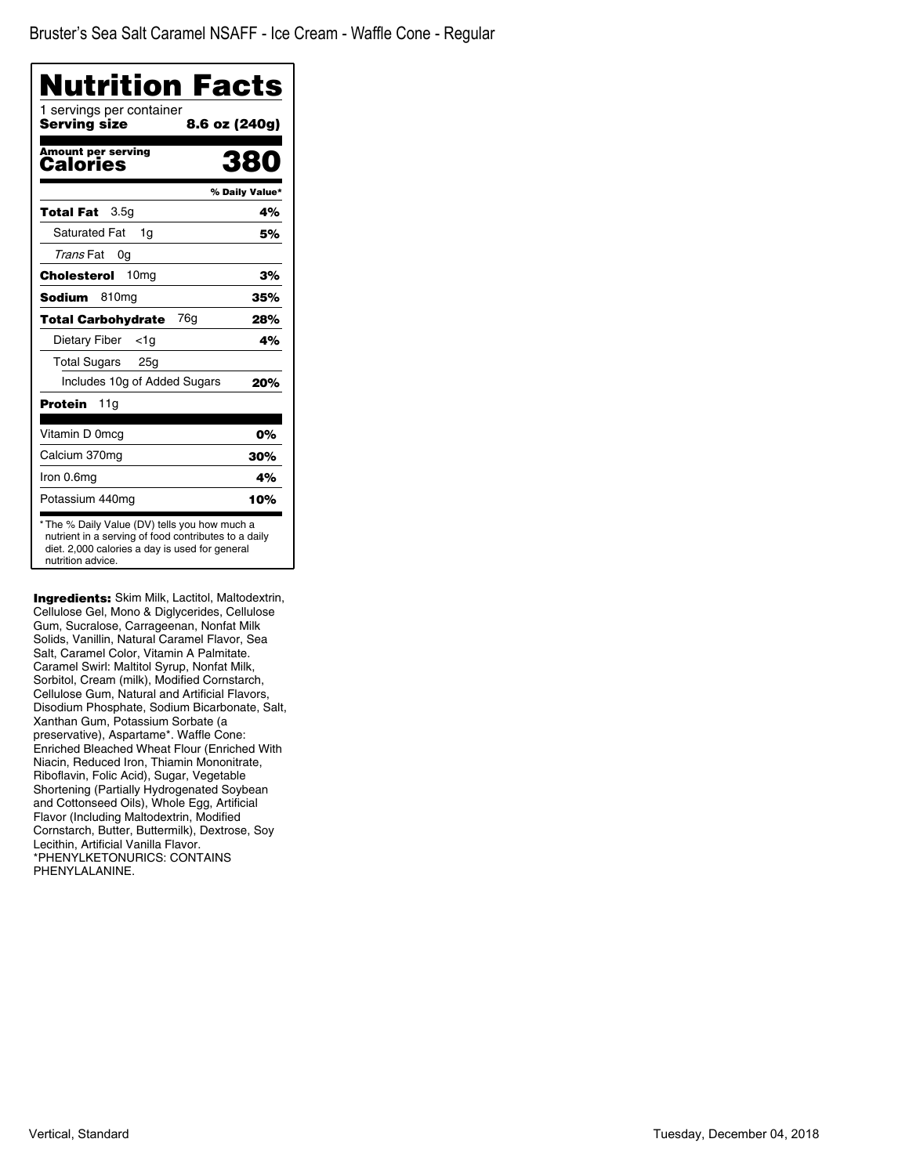| <b>Nutrition Facts</b>                                                                                                                                                       |                |
|------------------------------------------------------------------------------------------------------------------------------------------------------------------------------|----------------|
| 1 servings per container<br>Serving size                                                                                                                                     | 8.6 oz (240g)  |
| <b>Amount per serving</b><br>Calories                                                                                                                                        | 38             |
|                                                                                                                                                                              | % Daily Value* |
| 3.5 <sub>q</sub><br>Total Fat                                                                                                                                                | 4%             |
| <b>Saturated Fat</b><br>1q                                                                                                                                                   | 5%             |
| Trans Fat<br>0g                                                                                                                                                              |                |
| Cholesterol<br>10 <sub>mg</sub>                                                                                                                                              | 3%             |
| <b>Sodium</b><br>810 <sub>mg</sub>                                                                                                                                           | 35%            |
| 76 <sub>a</sub><br>Total Carbohydrate                                                                                                                                        | 28%            |
| Dietary Fiber<br><1a                                                                                                                                                         | 4%             |
| Total Sugars<br>25 <sub>q</sub>                                                                                                                                              |                |
| Includes 10g of Added Sugars                                                                                                                                                 | 20%            |
| Protein<br>11g                                                                                                                                                               |                |
| Vitamin D 0mcg                                                                                                                                                               | 0%             |
| Calcium 370mg                                                                                                                                                                | 30%            |
| Iron 0.6mg                                                                                                                                                                   | 4%             |
| Potassium 440mg                                                                                                                                                              | 10%            |
| * The % Daily Value (DV) tells you how much a<br>nutrient in a serving of food contributes to a daily<br>diet. 2,000 calories a day is used for general<br>nutrition advice. |                |